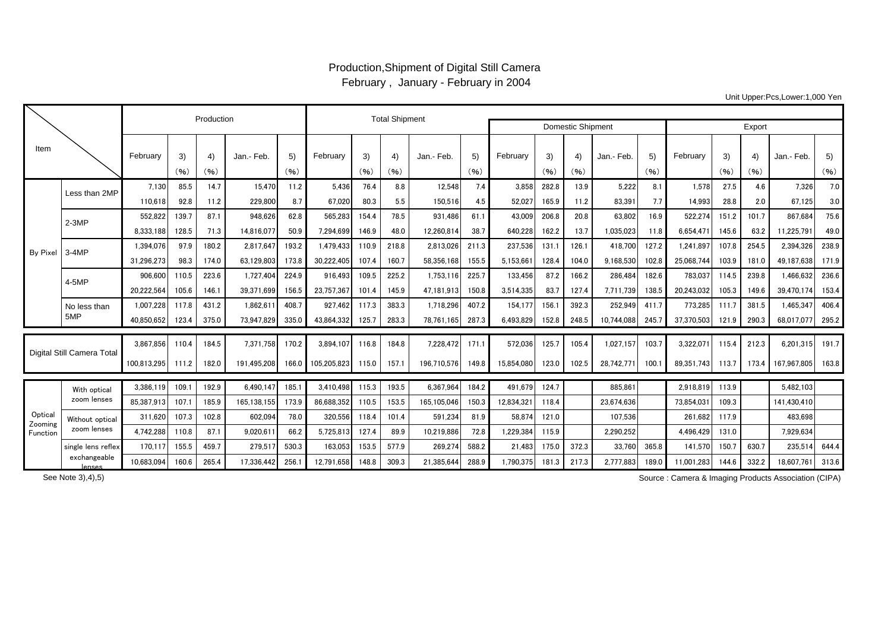## Production,Shipment of Digital Still Camera February , January - February in 2004

Unit Upper:Pcs,Lower:1,000 Yen

|                               |                                |             | Production |            | <b>Total Shipment</b> |            |             |            |            |             |            |            |                          |            |            |            |            |            |            |             |            |
|-------------------------------|--------------------------------|-------------|------------|------------|-----------------------|------------|-------------|------------|------------|-------------|------------|------------|--------------------------|------------|------------|------------|------------|------------|------------|-------------|------------|
|                               |                                |             |            |            |                       |            |             |            |            |             |            |            | <b>Domestic Shipment</b> | Export     |            |            |            |            |            |             |            |
| Item                          |                                | February    | 3)<br>(96) | 4)<br>(96) | Jan.- Feb.            | 5)<br>(96) | February    | 3)<br>(96) | 4)<br>(96) | Jan.- Feb.  | 5)<br>(96) | February   | 3)<br>(96)               | 4)<br>(96) | Jan.- Feb. | 5)<br>(96) | February   | 3)<br>(96) | 4)<br>(96) | Jan.- Feb.  | 5)<br>(96) |
|                               | Less than 2MP                  | 7.130       | 85.5       | 14.7       | 15.470                | 11.2       | 5.436       | 76.4       | 8.8        | 12.548      | 7.4        | 3.858      | 282.8                    | 13.9       | 5.222      | 8.1        | 1,578      | 27.5       | 4.6        | 7.326       | 7.0        |
|                               |                                | 110.618     | 92.8       | 11.2       | 229,800               | 8.7        | 67,020      | 80.3       | 5.5        | 150,516     | 4.5        | 52,027     | 165.9                    | 11.2       | 83.391     | 7.7        | 14,993     | 28.8       | 2.0        | 67,125      | 3.0        |
| By Pixel                      | $2-3MP$                        | 552,822     | 139.7      | 87.1       | 948,626               | 62.8       | 565,283     | 154.4      | 78.5       | 931,486     | 61.1       | 43,009     | 206.8                    | 20.8       | 63,802     | 16.9       | 522,274    | 151.2      | 101.7      | 867,684     | 75.6       |
|                               |                                | 8.333.188   | 128.5      | 71.3       | 14.816.077            | 50.9       | 7.294.699   | 146.9      | 48.0       | 12.260.814  | 38.7       | 640.228    | 162.2                    | 13.7       | 1.035.023  | 11.8       | 6.654.471  | 145.6      | 63.2       | 11.225.791  | 49.0       |
|                               | $3-4MP$                        | 1.394.076   | 97.9       | 180.2      | 2.817.647             | 193.2      | 1.479.433   | 110.9      | 218.8      | 2.813.026   | 211.3      | 237.536    | 131.1                    | 126.1      | 418.700    | 127.2      | 1.241.897  | 107.8      | 254.5      | 2.394.326   | 238.9      |
|                               |                                | 31,296,273  | 98.3       | 174.0      | 63,129,803            | 173.8      | 30,222,405  | 107.4      | 160.7      | 58,356,168  | 155.5      | 5.153.661  | 128.4                    | 104.0      | 9,168,530  | 102.8      | 25,068,744 | 103.9      | 181.0      | 49,187,638  | 171.9      |
|                               | $4-5MP$                        | 906,600     | 110.5      | 223.6      | 1.727.404             | 224.9      | 916,493     | 109.5      | 225.2      | 1,753,116   | 225.7      | 133,456    | 87.2                     | 166.2      | 286,484    | 182.6      | 783,037    | 114.5      | 239.8      | 1,466,632   | 236.6      |
|                               |                                | 20.222.564  | 105.6      | 146.1      | 39,371,699            | 156.5      | 23.757.367  | 101.4      | 145.9      | 47.181.913  | 150.8      | 3,514,335  | 83.7                     | 127.4      | 7.711.739  | 138.5      | 20.243.032 | 105.3      | 149.6      | 39.470.174  | 153.4      |
|                               | No less than                   | 1.007.228   | 117.8      | 431.2      | 1,862,61              | 408.7      | 927.462     | 117.3      | 383.3      | 1.718.296   | 407.2      | 154.177    | 156.1                    | 392.3      | 252,949    | 411.7      | 773,285    | 111.7      | 381.5      | 1.465.347   | 406.4      |
|                               | 5MP                            | 40.850.652  | 123.4      | 375.0      | 73.947.829            | 335.0      | 43.864.332  | 125.7      | 283.3      | 78,761,165  | 287.3      | 6.493.829  | 152.8                    | 248.5      | 10.744.088 | 245.7      | 37,370,503 | 121.9      | 290.3      | 68.017.077  | 295.2      |
| Digital Still Camera Total    |                                | 3.867.856   | 110.4      | 184.5      | 7.371.758             | 170.2      | 3.894.107   | 116.8      | 184.8      | 7.228.472   | 171.1      | 572.036    | 125.7                    | 105.4      | 1.027.157  | 103.7      | 3.322.07   | 115.4      | 212.3      | 6.201.315   | 191.7      |
|                               |                                | 100,813,295 | 111.2      | 182.0      | 191.495.208           | 166.0      | 105.205.823 | 115.0      | 157.1      | 196.710.576 | 149.8      | 15.854.080 | 123.0                    | 102.5      | 28,742,771 | 100.1      | 89.351.743 | 113.7      | 173.4      | 167.967.805 | 163.8      |
| Optica<br>Zooming<br>Function | With optical<br>zoom lenses    | 3.386.119   | 109.       | 192.9      | 6.490.147             | 185.       | 3.410.498   | 115.3      | 193.5      | 6.367.964   | 184.2      | 491.679    | 124.7                    |            | 885,861    |            | 2,918,819  | 113.9      |            | 5,482,103   |            |
|                               |                                | 85.387.913  | 107.       | 185.9      | 165,138,155           | 173.9      | 86.688.352  | 110.5      | 153.5      | 165.105.046 | 150.3      | 12,834,321 | 118.4                    |            | 23.674.636 |            | 73,854,031 | 109.3      |            | 141,430,410 |            |
|                               | Without optical<br>zoom lenses | 311,620     | 107.3      | 102.8      | 602,094               | 78.0       | 320,556     | 118.4      | 101.4      | 591,234     | 81.9       | 58.874     | 121.0                    |            | 107.536    |            | 261.682    | 117.9      |            | 483,698     |            |
|                               |                                | 4.742.288   | 110.8      | 87.1       | 9.020.61              | 66.2       | 5.725.813   | 127.4      | 89.9       | 10.219.886  | 72.8       | 1.229.384  | 115.9                    |            | 2.290.252  |            | 4.496.429  | 131.0      |            | 7.929.634   |            |
|                               | single lens reflex             | 170.117     | 155.5      | 459.7      | 279.517               | 530.3      | 163.053     | 153.5      | 577.9      | 269.274     | 588.2      | 21.483     | 175.0                    | 372.3      | 33.760     | 365.8      | 141.570    | 150.7      | 630.7      | 235.514     | 644.4      |
|                               | exchangeable<br>lenses         | 10,683,094  | 160.6      | 265.4      | 17,336,442            | 256.       | 12,791,658  | 148.8      | 309.3      | 21,385,644  | 288.9      | 1,790,375  | 181.3                    | 217.3      | 2.777.883  | 189.0      | 11,001,283 | 144.6      | 332.2      | 18,607,761  | 313.6      |

Source : Camera & Imaging Products Association (CIPA)

See Note 3),4),5)